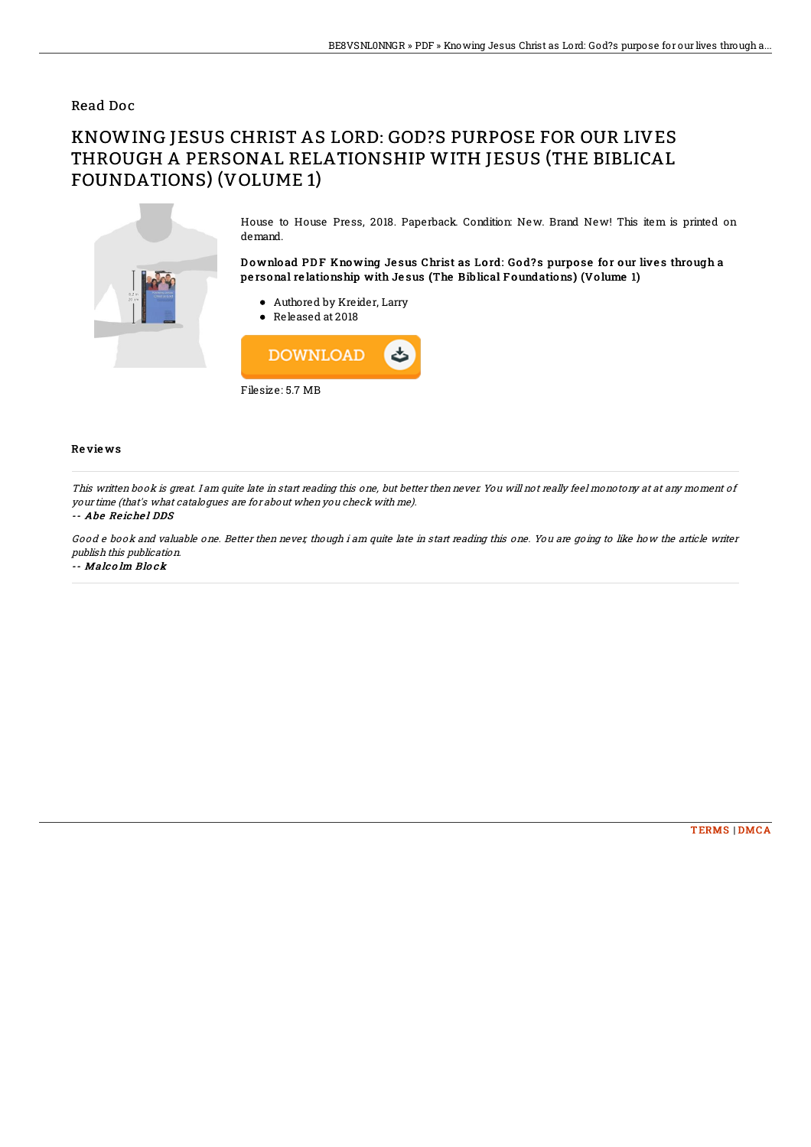### Read Doc

# KNOWING JESUS CHRIST AS LORD: GOD?S PURPOSE FOR OUR LIVES THROUGH A PERSONAL RELATIONSHIP WITH JESUS (THE BIBLICAL FOUNDATIONS) (VOLUME 1)



House to House Press, 2018. Paperback. Condition: New. Brand New! This item is printed on demand.

Download PDF Knowing Jesus Christ as Lord: God?s purpose for our lives through a pe rsonal re lationship with Je sus (The Biblical F oundations) (Vo lume 1)

- Authored by Kreider, Larry
- Released at 2018



#### Re vie ws

This written book is great. I am quite late in start reading this one, but better then never. You will not really feel monotony at at any moment of your time (that's what catalogues are for about when you check with me).

#### -- Abe Reichel DDS

Good <sup>e</sup> book and valuable one. Better then never, though i am quite late in start reading this one. You are going to like how the article writer publish this publication.

-- Malc o lm Blo ck